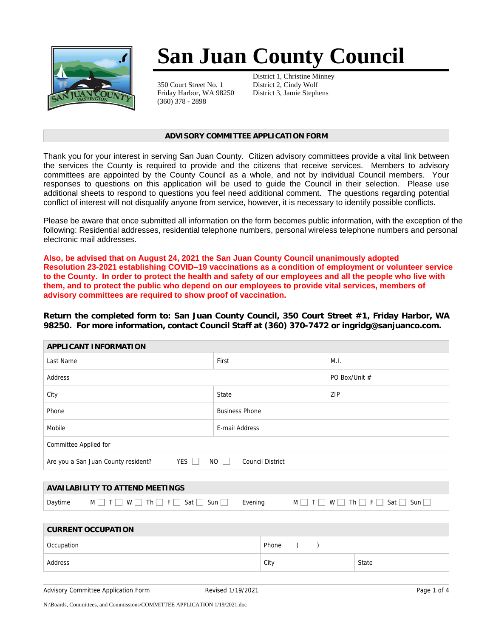

# **San Juan County Council**

350 Court Street No. 1 Friday Harbor, WA 98250 (360) 378 - 2898

District 1, Christine Minney District 2, Cindy Wolf District 3, Jamie Stephens

#### **ADVISORY COMMITTEE APPLICATION FORM**

Thank you for your interest in serving San Juan County. Citizen advisory committees provide a vital link between the services the County is required to provide and the citizens that receive services. Members to advisory committees are appointed by the County Council as a whole, and not by individual Council members. Your responses to questions on this application will be used to guide the Council in their selection. Please use additional sheets to respond to questions you feel need additional comment. The questions regarding potential conflict of interest will not disqualify anyone from service, however, it is necessary to identify possible conflicts.

Please be aware that once submitted all information on the form becomes public information, with the exception of the following: Residential addresses, residential telephone numbers, personal wireless telephone numbers and personal electronic mail addresses.

**Also, be advised that on August 24, 2021 the San Juan County Council unanimously adopted Resolution 23-2021 establishing COVID–19 vaccinations as a condition of employment or volunteer service to the County. In order to protect the health and safety of our employees and all the people who live with them, and to protect the public who depend on our employees to provide vital services, members of advisory committees are required to show proof of vaccination.**

*Return the completed form to: San Juan County Council, 350 Court Street #1, Friday Harbor, WA 98250. For more information, contact Council Staff at (360) 370-7472 or ingridg@sanjuanco.com.*

| APPLICANT INFORMATION                                                             |                       |               |  |  |
|-----------------------------------------------------------------------------------|-----------------------|---------------|--|--|
| Last Name                                                                         | First                 | M.I.          |  |  |
| Address                                                                           |                       | PO Box/Unit # |  |  |
| City                                                                              | State                 | ZIP           |  |  |
| Phone                                                                             | <b>Business Phone</b> |               |  |  |
| Mobile                                                                            | E-mail Address        |               |  |  |
| Committee Applied for                                                             |                       |               |  |  |
| $YES$ $\Box$<br>Are you a San Juan County resident?<br>NO    <br>Council District |                       |               |  |  |

|         | AVAILABILITY TO ATTEND MEETINGS                                                                     |         |                                                     |
|---------|-----------------------------------------------------------------------------------------------------|---------|-----------------------------------------------------|
| Davtime | Th <sup>1</sup><br>$\mathsf{F}$ $\mathsf{F}$ $\mathsf{F}$<br>W I<br>$\mid$ Sat $\mid$<br>Sun I<br>M | Evening | $ Th $ $ F $<br>W I<br>M <sub>1</sub><br>Sat<br>Sun |

| <b>CURRENT OCCUPATION</b> |       |       |  |  |
|---------------------------|-------|-------|--|--|
| Occupation                | Phone |       |  |  |
| Address                   | City  | State |  |  |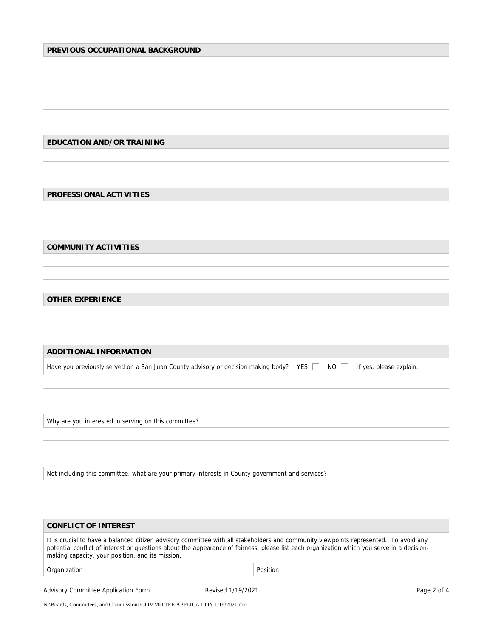## **PREVIOUS OCCUPATIONAL BACKGROUND**

**EDUCATION AND/OR TRAINING**

**PROFESSIONAL ACTIVITIES**

**COMMUNITY ACTIVITIES**

**OTHER EXPERIENCE**

**ADDITIONAL INFORMATION** Have you previously served on a San Juan County advisory or decision making body? YES  $\Box$  NO  $\Box$  If yes, please explain.

Why are you interested in serving on this committee?

Not including this committee, what are your primary interests in County government and services?

| <b>CONFLICT OF INTEREST</b>                                                                                                                                                                                                                                                                                                            |          |  |  |
|----------------------------------------------------------------------------------------------------------------------------------------------------------------------------------------------------------------------------------------------------------------------------------------------------------------------------------------|----------|--|--|
| It is crucial to have a balanced citizen advisory committee with all stakeholders and community viewpoints represented. To avoid any<br>potential conflict of interest or questions about the appearance of fairness, please list each organization which you serve in a decision-<br>making capacity, your position, and its mission. |          |  |  |
| Organization                                                                                                                                                                                                                                                                                                                           | Position |  |  |

Advisory Committee Application Form Revised 1/19/2021 Page 2 of 4

N:\Boards, Committees, and Commissions\COMMITTEE APPLICATION 1/19/2021.doc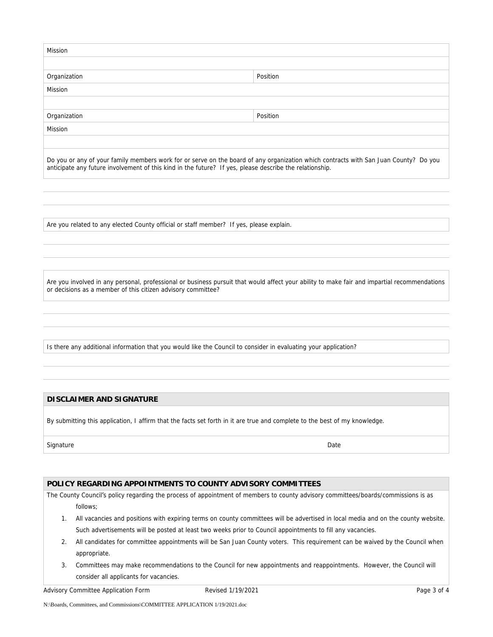| Mission      |          |  |
|--------------|----------|--|
|              |          |  |
| Organization | Position |  |
| Mission      |          |  |
|              |          |  |
| Organization | Position |  |
| Mission      |          |  |
|              |          |  |
|              |          |  |

Do you or any of your family members work for or serve on the board of any organization which contracts with San Juan County? Do you anticipate any future involvement of this kind in the future? If yes, please describe the relationship.

Are you related to any elected County official or staff member? If yes, please explain.

Are you involved in any personal, professional or business pursuit that would affect your ability to make fair and impartial recommendations or decisions as a member of this citizen advisory committee?

Is there any additional information that you would like the Council to consider in evaluating your application?

## **DISCLAIMER AND SIGNATURE**

By submitting this application, I affirm that the facts set forth in it are true and complete to the best of my knowledge.

### Signature Date Date of the State of the State of the State of the Date of the Date of the Date of the Date of the Date of the Date of the Date of the Date of the Date of the Date of the Date of the Date of the Date of the

# **POLICY REGARDING APPOINTMENTS TO COUNTY ADVISORY COMMITTEES**

The County Council's policy regarding the process of appointment of members to county advisory committees/boards/commissions is as follows;

- 1. All vacancies and positions with expiring terms on county committees will be advertised in local media and on the county website. Such advertisements will be posted at least two weeks prior to Council appointments to fill any vacancies.
- 2. All candidates for committee appointments will be San Juan County voters. This requirement can be waived by the Council when appropriate.
- 3. Committees may make recommendations to the Council for new appointments and reappointments. However, the Council will consider all applicants for vacancies.

Advisory Committee Application Form **Revised 1/19/2021** Page 3 of 4